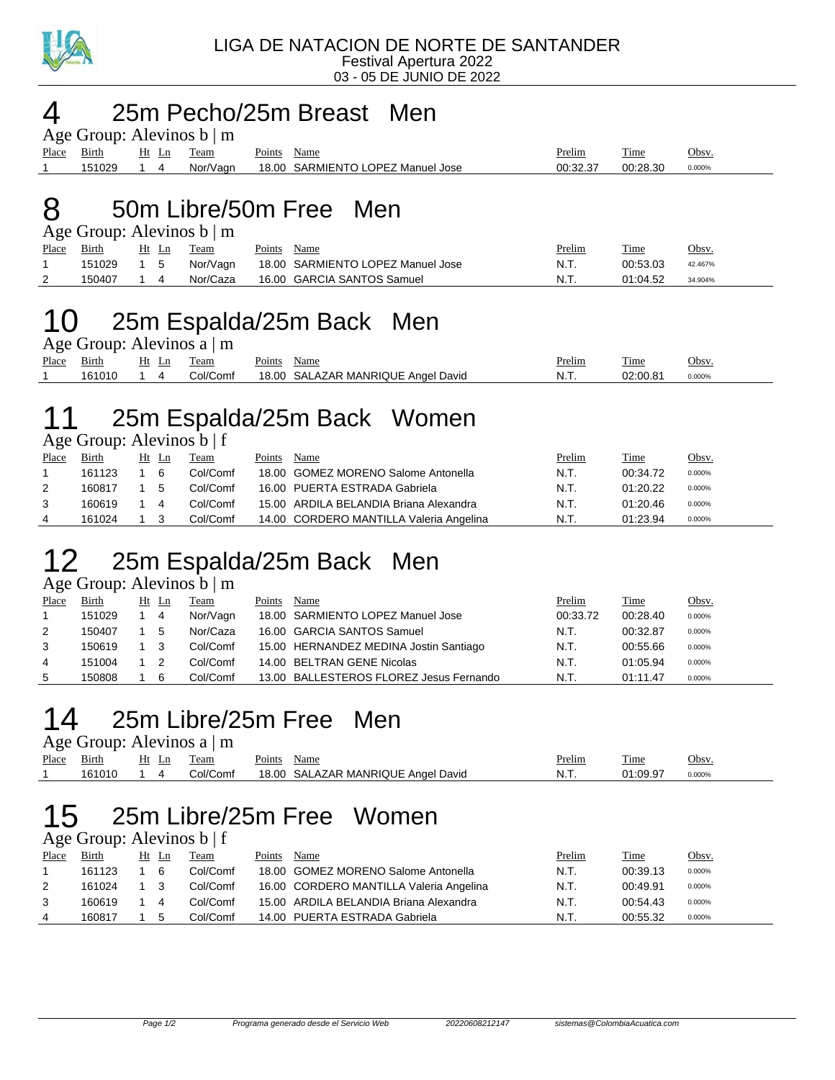

#### 4 25m Pecho/25m Breast Men

|             | Age Group: Alevinos $b \mid m$ |    |       |          |             |                                   |          |          |           |
|-------------|--------------------------------|----|-------|----------|-------------|-----------------------------------|----------|----------|-----------|
| Place Birth |                                |    | Ht Ln | Team     | Points Name |                                   | Prelim   | Time     | Obsv.     |
|             | 151029                         | 14 |       | Nor/Vagn |             | 18.00 SARMIENTO LOPEZ Manuel Jose | 00:32.37 | 00:28.30 | $0.000\%$ |

### 8 50m Libre/50m Free Men

Age Group: Alevinos b | m

| Place    | Birth  | Ht Ln | Team     | Points<br>Name                    | Prelim | Time     | <u>Obsv.</u> |
|----------|--------|-------|----------|-----------------------------------|--------|----------|--------------|
|          | 151029 |       | Nor/Vagn | 18.00 SARMIENTO LOPEZ Manuel Jose | N.T.   | 00:53.03 | 42.467%      |
| <u>_</u> | 150407 |       | Nor/Caza | 16.00 GARCIA SANTOS Samuel        | N.T.   | 01:04.52 | 34.904%      |

# 10 25m Espalda/25m Back Men

Age Group: Alevinos a | m

| Place | - -<br>Birth | Ht<br>Ln | eam                    | $\sim$<br>oints' | Name                                                    | Prelim  | ---<br>Time | Obsv.  |
|-------|--------------|----------|------------------------|------------------|---------------------------------------------------------|---------|-------------|--------|
|       |              |          | $\sim$<br>`omi<br>…ו∩` | 18.00            | <b>MANRIQUE</b><br>David<br>۰Α<br>Ange'<br>$\mathbf{v}$ | IN. I . | nn.nn       | 0.000% |

### 11 25m Espalda/25m Back Women

Age Group: Alevinos b | f

| Place | Birth  | Ht Ln | Team     | Points | Name                                    | <u>Prelim</u> | <b>Time</b> | Obsv.  |
|-------|--------|-------|----------|--------|-----------------------------------------|---------------|-------------|--------|
|       | 161123 | 6     | Col/Comf |        | 18.00 GOMEZ MORENO Salome Antonella     | N.T.          | 00:34.72    | 0.000% |
| 2     | 160817 | 5     | Col/Comf |        | 16.00 PUERTA ESTRADA Gabriela           | N.T.          | 01:20.22    | 0.000% |
|       | 160619 | 4     | Col/Comf |        | 15.00 ARDILA BELANDIA Briana Alexandra  | N.T.          | 01:20.46    | 0.000% |
| 4     | 161024 |       | Col/Comf |        | 14.00 CORDERO MANTILLA Valeria Angelina | N.T.          | 01:23.94    | 0.000% |

## 12 25m Espalda/25m Back Men

Age Group: Alevinos b | m

| Place | Birth  | Ht Ln |                            | Team     | Points | Name                                    | Prelim   | <b>Time</b> | Obsv.  |
|-------|--------|-------|----------------------------|----------|--------|-----------------------------------------|----------|-------------|--------|
|       | 151029 |       | 4                          | Nor/Vagn |        | 18.00 SARMIENTO LOPEZ Manuel Jose       | 00:33.72 | 00:28.40    | 0.000% |
| 2     | 150407 | - 5   |                            | Nor/Caza |        | 16.00 GARCIA SANTOS Samuel              | N.T.     | 00:32.87    | 0.000% |
| 3     | 150619 |       | - 3                        | Col/Comf |        | 15.00 HERNANDEZ MEDINA Jostin Santiago  | N.T.     | 00:55.66    | 0.000% |
| 4     | 151004 |       | $\overline{\phantom{0}}^2$ | Col/Comf |        | 14.00 BELTRAN GENE Nicolas              | N.T.     | 01:05.94    | 0.000% |
| 5     | 150808 |       | -6                         | Col/Comf |        | 13.00 BALLESTEROS FLOREZ Jesus Fernando | N.T.     | 01:11.47    | 0.000% |

# 14 25m Libre/25m Free Men

| Age Group: Alevinos $a \mid m$ |        |       |          |             |                                    |               |          |              |  |  |
|--------------------------------|--------|-------|----------|-------------|------------------------------------|---------------|----------|--------------|--|--|
| Place Birth                    |        | Ht Ln | Team     | Points Name |                                    | <u>Prelim</u> | Time     | <u>Obsv.</u> |  |  |
|                                | 161010 |       | Col/Comf |             | 18.00 SALAZAR MANRIQUE Angel David | - N.T.        | 01:09.97 | $0.000\%$    |  |  |

# 15 25m Libre/25m Free Women

Age Group: Alevinos b | f

| Place | Birth  | Ht | Ln | Team     | Points | Name                                    | Prelim | <b>Time</b> | <u>Obsv.</u> |
|-------|--------|----|----|----------|--------|-----------------------------------------|--------|-------------|--------------|
|       | 161123 |    | 6  | Col/Comf |        | 18.00 GOMEZ MORENO Salome Antonella     | N.T.   | 00:39.13    | 0.000%       |
|       | 161024 |    |    | Col/Comf |        | 16.00 CORDERO MANTILLA Valeria Angelina | N.T.   | 00:49.91    | 0.000%       |
|       | 160619 |    | 4  | Col/Comf |        | 15.00 ARDILA BELANDIA Briana Alexandra  | N.T.   | 00:54.43    | 0.000%       |
|       | 160817 |    | .5 | Col/Comf |        | 14.00 PUERTA ESTRADA Gabriela           | N.T    | 00:55.32    | 0.000%       |